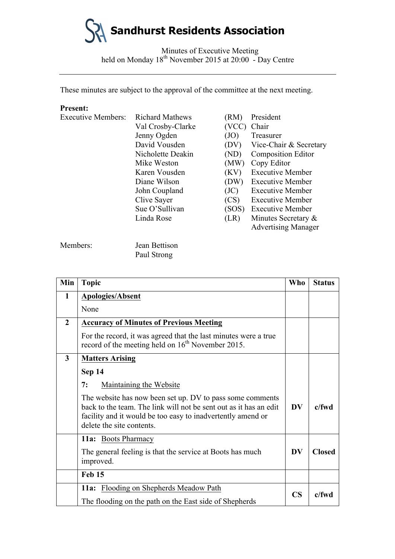

Minutes of Executive Meeting held on Monday 18<sup>th</sup> November 2015 at 20:00 - Day Centre

These minutes are subject to the approval of the committee at the next meeting.

### **Present:**

| <b>Executive Members:</b> | <b>Richard Mathews</b> | (RM)  | President                  |
|---------------------------|------------------------|-------|----------------------------|
|                           | Val Crosby-Clarke      | (VCC) | Chair                      |
|                           | Jenny Ogden            | (JO)  | Treasurer                  |
|                           | David Vousden          | (DV)  | Vice-Chair & Secretary     |
|                           | Nicholette Deakin      | (ND)  | <b>Composition Editor</b>  |
|                           | Mike Weston            | (MW)  | Copy Editor                |
|                           | Karen Vousden          | (KV)  | <b>Executive Member</b>    |
|                           | Diane Wilson           | (DW)  | <b>Executive Member</b>    |
|                           | John Coupland          | (JC)  | <b>Executive Member</b>    |
|                           | Clive Sayer            | (CS)  | <b>Executive Member</b>    |
|                           | Sue O'Sullivan         | (SOS) | <b>Executive Member</b>    |
|                           | Linda Rose             | (LR)  | Minutes Secretary $\&$     |
|                           |                        |       | <b>Advertising Manager</b> |

Members: Jean Bettison

Paul Strong

| Min            | <b>Topic</b>                                                                                                                                                                                                               | Who           | <b>Status</b> |
|----------------|----------------------------------------------------------------------------------------------------------------------------------------------------------------------------------------------------------------------------|---------------|---------------|
| 1              | <b>Apologies/Absent</b>                                                                                                                                                                                                    |               |               |
|                | None                                                                                                                                                                                                                       |               |               |
| $\overline{2}$ | <b>Accuracy of Minutes of Previous Meeting</b>                                                                                                                                                                             |               |               |
|                | For the record, it was agreed that the last minutes were a true<br>record of the meeting held on $16th$ November 2015.                                                                                                     |               |               |
| 3              | <b>Matters Arising</b>                                                                                                                                                                                                     |               |               |
|                | <b>Sep 14</b>                                                                                                                                                                                                              |               |               |
|                | 7:<br><b>Maintaining the Website</b>                                                                                                                                                                                       |               |               |
|                | The website has now been set up. DV to pass some comments<br>back to the team. The link will not be sent out as it has an edit<br>facility and it would be too easy to inadvertently amend or<br>delete the site contents. | <b>DV</b>     | $c$ /fwd      |
|                | 11a: Boots Pharmacy                                                                                                                                                                                                        |               |               |
|                | The general feeling is that the service at Boots has much<br>improved.                                                                                                                                                     | <b>DV</b>     | <b>Closed</b> |
|                | Feb 15                                                                                                                                                                                                                     |               |               |
|                | 11a: Flooding on Shepherds Meadow Path                                                                                                                                                                                     | $\mathbf{CS}$ | $c$ /fwd      |
|                | The flooding on the path on the East side of Shepherds                                                                                                                                                                     |               |               |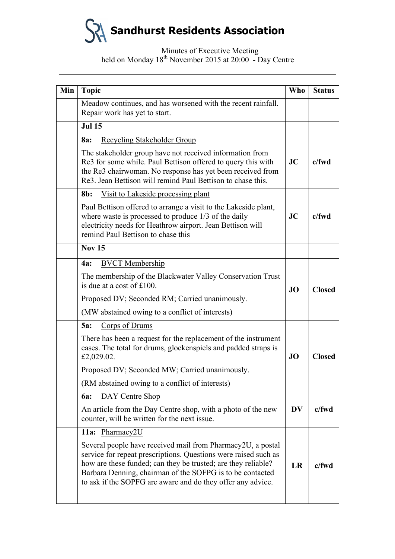**Sandhurst Residents Association**

### Minutes of Executive Meeting held on Monday 18<sup>th</sup> November 2015 at 20:00 - Day Centre

| Min | <b>Topic</b>                                                                                                                                                                                                                                                                                                                | <b>Who</b> | <b>Status</b> |
|-----|-----------------------------------------------------------------------------------------------------------------------------------------------------------------------------------------------------------------------------------------------------------------------------------------------------------------------------|------------|---------------|
|     | Meadow continues, and has worsened with the recent rainfall.                                                                                                                                                                                                                                                                |            |               |
|     | Repair work has yet to start.                                                                                                                                                                                                                                                                                               |            |               |
|     | <b>Jul 15</b>                                                                                                                                                                                                                                                                                                               |            |               |
|     | Recycling Stakeholder Group<br>8a:                                                                                                                                                                                                                                                                                          |            |               |
|     | The stakeholder group have not received information from<br>Re3 for some while. Paul Bettison offered to query this with<br>the Re3 chairwoman. No response has yet been received from<br>Re3. Jean Bettison will remind Paul Bettison to chase this.                                                                       | JC         | c/fwd         |
|     | Visit to Lakeside processing plant<br>$8b$ :                                                                                                                                                                                                                                                                                |            |               |
|     | Paul Bettison offered to arrange a visit to the Lakeside plant,<br>where waste is processed to produce 1/3 of the daily<br>electricity needs for Heathrow airport. Jean Bettison will<br>remind Paul Bettison to chase this                                                                                                 | JC         | $c$ /fwd      |
|     | <b>Nov 15</b>                                                                                                                                                                                                                                                                                                               |            |               |
|     | <b>BVCT</b> Membership<br><b>4a:</b>                                                                                                                                                                                                                                                                                        |            | <b>Closed</b> |
|     | The membership of the Blackwater Valley Conservation Trust<br>is due at a cost of £100.                                                                                                                                                                                                                                     | <b>JO</b>  |               |
|     | Proposed DV; Seconded RM; Carried unanimously.                                                                                                                                                                                                                                                                              |            |               |
|     | (MW abstained owing to a conflict of interests)                                                                                                                                                                                                                                                                             |            |               |
|     | Corps of Drums<br>5a:                                                                                                                                                                                                                                                                                                       |            |               |
|     | There has been a request for the replacement of the instrument<br>cases. The total for drums, glockenspiels and padded straps is<br>£2,029.02.                                                                                                                                                                              | <b>JO</b>  | <b>Closed</b> |
|     | Proposed DV; Seconded MW; Carried unanimously.                                                                                                                                                                                                                                                                              |            |               |
|     | (RM abstained owing to a conflict of interests)                                                                                                                                                                                                                                                                             |            |               |
|     | DAY Centre Shop<br><b>6a:</b>                                                                                                                                                                                                                                                                                               |            |               |
|     | An article from the Day Centre shop, with a photo of the new<br>counter, will be written for the next issue.                                                                                                                                                                                                                | <b>DV</b>  | c/fwd         |
|     | 11a: Pharmacy2U                                                                                                                                                                                                                                                                                                             |            |               |
|     | Several people have received mail from Pharmacy2U, a postal<br>service for repeat prescriptions. Questions were raised such as<br>how are these funded; can they be trusted; are they reliable?<br>Barbara Denning, chairman of the SOFPG is to be contacted<br>to ask if the SOPFG are aware and do they offer any advice. | LR         | $c$ /fwd      |
|     |                                                                                                                                                                                                                                                                                                                             |            |               |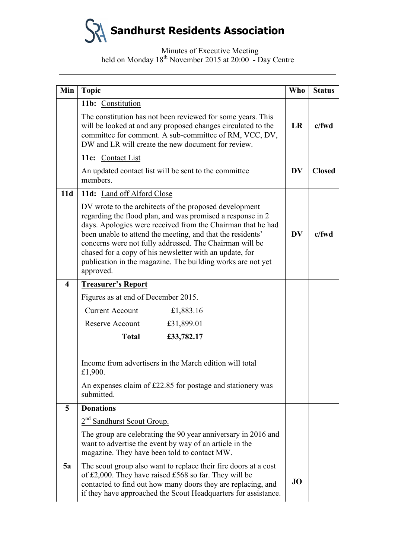**Sandhurst Residents Association**

Minutes of Executive Meeting held on Monday 18<sup>th</sup> November 2015 at 20:00 - Day Centre

| Min                     | <b>Topic</b>                                                                                                                                                                                                                                                                                                                                                                                                                                        | <b>Who</b> | <b>Status</b> |
|-------------------------|-----------------------------------------------------------------------------------------------------------------------------------------------------------------------------------------------------------------------------------------------------------------------------------------------------------------------------------------------------------------------------------------------------------------------------------------------------|------------|---------------|
|                         | 11b: Constitution                                                                                                                                                                                                                                                                                                                                                                                                                                   |            |               |
|                         | The constitution has not been reviewed for some years. This<br>will be looked at and any proposed changes circulated to the<br>committee for comment. A sub-committee of RM, VCC, DV,<br>DW and LR will create the new document for review.                                                                                                                                                                                                         | <b>LR</b>  | $c$ /fwd      |
|                         | 11c: Contact List                                                                                                                                                                                                                                                                                                                                                                                                                                   |            |               |
|                         | An updated contact list will be sent to the committee<br>members.                                                                                                                                                                                                                                                                                                                                                                                   | <b>DV</b>  | <b>Closed</b> |
| 11d                     | 11d: Land off Alford Close                                                                                                                                                                                                                                                                                                                                                                                                                          |            |               |
|                         | DV wrote to the architects of the proposed development<br>regarding the flood plan, and was promised a response in 2<br>days. Apologies were received from the Chairman that he had<br>been unable to attend the meeting, and that the residents'<br>concerns were not fully addressed. The Chairman will be<br>chased for a copy of his newsletter with an update, for<br>publication in the magazine. The building works are not yet<br>approved. | <b>DV</b>  | $c$ /fwd      |
| $\overline{\mathbf{4}}$ | <b>Treasurer's Report</b>                                                                                                                                                                                                                                                                                                                                                                                                                           |            |               |
|                         | Figures as at end of December 2015.                                                                                                                                                                                                                                                                                                                                                                                                                 |            |               |
|                         | <b>Current Account</b><br>£1,883.16                                                                                                                                                                                                                                                                                                                                                                                                                 |            |               |
|                         | Reserve Account<br>£31,899.01                                                                                                                                                                                                                                                                                                                                                                                                                       |            |               |
|                         | <b>Total</b><br>£33,782.17                                                                                                                                                                                                                                                                                                                                                                                                                          |            |               |
|                         | Income from advertisers in the March edition will total<br>£1,900.                                                                                                                                                                                                                                                                                                                                                                                  |            |               |
|                         | An expenses claim of £22.85 for postage and stationery was<br>submitted.                                                                                                                                                                                                                                                                                                                                                                            |            |               |
| 5                       | <b>Donations</b>                                                                                                                                                                                                                                                                                                                                                                                                                                    |            |               |
|                         | 2 <sup>nd</sup> Sandhurst Scout Group.                                                                                                                                                                                                                                                                                                                                                                                                              |            |               |
|                         | The group are celebrating the 90 year anniversary in 2016 and<br>want to advertise the event by way of an article in the<br>magazine. They have been told to contact MW.                                                                                                                                                                                                                                                                            |            |               |
| 5a                      | The scout group also want to replace their fire doors at a cost<br>of £2,000. They have raised £568 so far. They will be<br>contacted to find out how many doors they are replacing, and<br>if they have approached the Scout Headquarters for assistance.                                                                                                                                                                                          | <b>JO</b>  |               |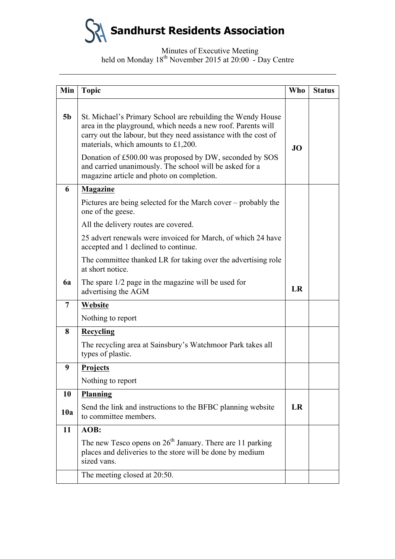**Sandhurst Residents Association**

# Minutes of Executive Meeting held on Monday 18<sup>th</sup> November 2015 at 20:00 - Day Centre

| Min            | <b>Topic</b>                                                                                                                                                                                                                            | <b>Who</b> | <b>Status</b> |
|----------------|-----------------------------------------------------------------------------------------------------------------------------------------------------------------------------------------------------------------------------------------|------------|---------------|
| 5 <sub>b</sub> | St. Michael's Primary School are rebuilding the Wendy House<br>area in the playground, which needs a new roof. Parents will<br>carry out the labour, but they need assistance with the cost of<br>materials, which amounts to $£1,200.$ | <b>JO</b>  |               |
|                | Donation of £500.00 was proposed by DW, seconded by SOS<br>and carried unanimously. The school will be asked for a<br>magazine article and photo on completion.                                                                         |            |               |
| 6              | <b>Magazine</b>                                                                                                                                                                                                                         |            |               |
|                | Pictures are being selected for the March cover – probably the<br>one of the geese.                                                                                                                                                     |            |               |
|                | All the delivery routes are covered.                                                                                                                                                                                                    |            |               |
|                | 25 advert renewals were invoiced for March, of which 24 have<br>accepted and 1 declined to continue.                                                                                                                                    |            |               |
|                | The committee thanked LR for taking over the advertising role<br>at short notice.                                                                                                                                                       |            |               |
| 6a             | The spare 1/2 page in the magazine will be used for<br>advertising the AGM                                                                                                                                                              | LR         |               |
| 7              | Website                                                                                                                                                                                                                                 |            |               |
|                | Nothing to report                                                                                                                                                                                                                       |            |               |
| 8              | <b>Recycling</b>                                                                                                                                                                                                                        |            |               |
|                | The recycling area at Sainsbury's Watchmoor Park takes all<br>types of plastic.                                                                                                                                                         |            |               |
| 9              | <b>Projects</b>                                                                                                                                                                                                                         |            |               |
|                | Nothing to report                                                                                                                                                                                                                       |            |               |
| 10             | Planning                                                                                                                                                                                                                                |            |               |
| 10a            | Send the link and instructions to the BFBC planning website<br>to committee members.                                                                                                                                                    | LR         |               |
| 11             | AOB:                                                                                                                                                                                                                                    |            |               |
|                | The new Tesco opens on $26th$ January. There are 11 parking<br>places and deliveries to the store will be done by medium<br>sized vans.                                                                                                 |            |               |
|                | The meeting closed at 20:50.                                                                                                                                                                                                            |            |               |
|                |                                                                                                                                                                                                                                         |            |               |